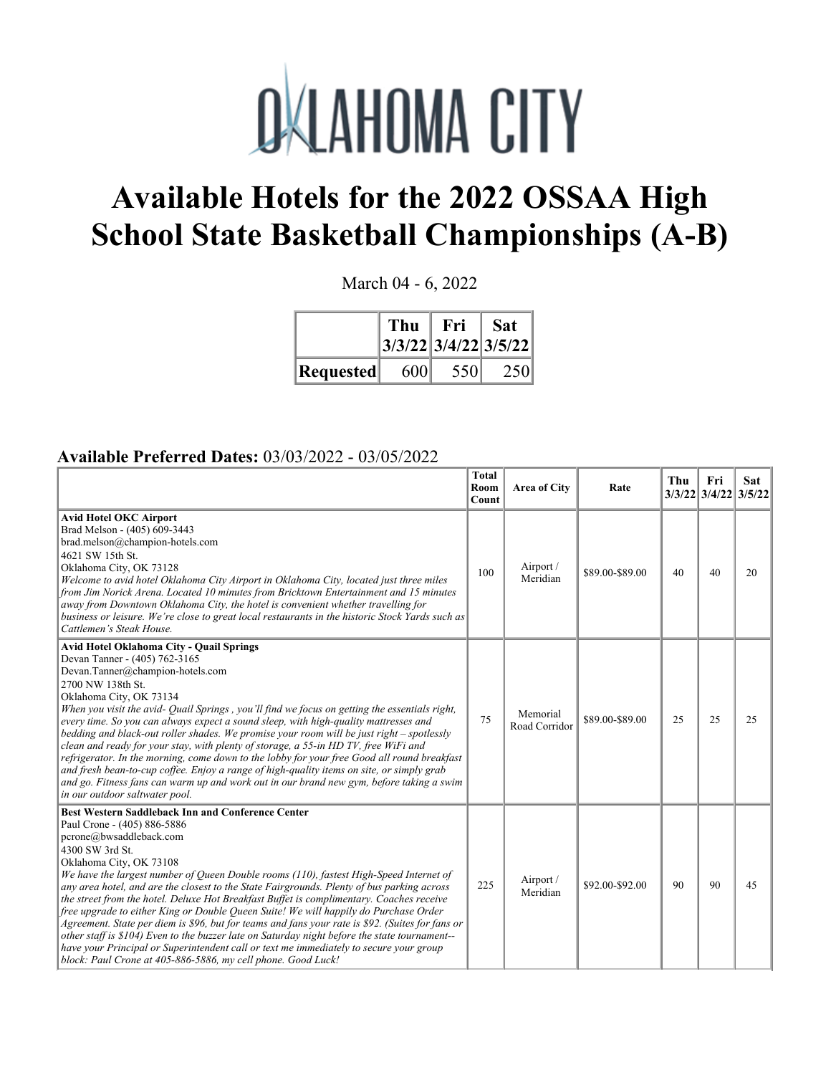

## **Available Hotels for the 2022 OSSAA High School State Basketball Championships (A-B)**

March 04 - 6, 2022

|           | Thu<br>$3/3/22$ $3/4/22$ $3/5/22$ | Fri | <b>Sat</b> |
|-----------|-----------------------------------|-----|------------|
| Requested | 600                               | 550 | 250        |

## **Available Preferred Dates:** 03/03/2022 - 03/05/2022

|                                                                                                                                                                                                                                                                                                                                                                                                                                                                                                                                                                                                                                                                                                                                                                                                                                                                                                             | <b>Total</b><br>Room<br>Count | Area of City              | Rate            | Thu | Fri<br>3/3/22 3/4/22 3/5/22 | Sat |
|-------------------------------------------------------------------------------------------------------------------------------------------------------------------------------------------------------------------------------------------------------------------------------------------------------------------------------------------------------------------------------------------------------------------------------------------------------------------------------------------------------------------------------------------------------------------------------------------------------------------------------------------------------------------------------------------------------------------------------------------------------------------------------------------------------------------------------------------------------------------------------------------------------------|-------------------------------|---------------------------|-----------------|-----|-----------------------------|-----|
| Avid Hotel OKC Airport<br>Brad Melson - (405) 609-3443<br>brad.melson@champion-hotels.com<br>4621 SW 15th St.<br>Oklahoma City, OK 73128<br>Welcome to avid hotel Oklahoma City Airport in Oklahoma City, located just three miles<br>from Jim Norick Arena. Located 10 minutes from Bricktown Entertainment and 15 minutes<br>away from Downtown Oklahoma City, the hotel is convenient whether travelling for<br>business or leisure. We're close to great local restaurants in the historic Stock Yards such as<br>Cattlemen's Steak House.                                                                                                                                                                                                                                                                                                                                                              | 100                           | Airport /<br>Meridian     | \$89.00-\$89.00 | 40  | 40                          | 20  |
| <b>Avid Hotel Oklahoma City - Quail Springs</b><br>Devan Tanner - (405) 762-3165<br>Devan.Tanner@champion-hotels.com<br>2700 NW 138th St.<br>Oklahoma City, OK 73134<br>When you visit the avid- Quail Springs, you'll find we focus on getting the essentials right,<br>every time. So you can always expect a sound sleep, with high-quality mattresses and<br>bedding and black-out roller shades. We promise your room will be just right - spotlessly<br>clean and ready for your stay, with plenty of storage, a 55-in HD TV, free WiFi and<br>refrigerator. In the morning, come down to the lobby for your free Good all round breakfast<br>and fresh bean-to-cup coffee. Enjoy a range of high-quality items on site, or simply grab<br>and go. Fitness fans can warm up and work out in our brand new gym, before taking a swim<br>in our outdoor saltwater pool.                                 | 75                            | Memorial<br>Road Corridor | \$89.00-\$89.00 | 25  | 25                          | 25  |
| <b>Best Western Saddleback Inn and Conference Center</b><br>Paul Crone - (405) 886-5886<br>pcrone@bwsaddleback.com<br>4300 SW 3rd St.<br>Oklahoma City, OK 73108<br>We have the largest number of Queen Double rooms (110), fastest High-Speed Internet of<br>any area hotel, and are the closest to the State Fairgrounds. Plenty of bus parking across<br>the street from the hotel. Deluxe Hot Breakfast Buffet is complimentary. Coaches receive<br>free upgrade to either King or Double Queen Suite! We will happily do Purchase Order<br>Agreement. State per diem is \$96, but for teams and fans your rate is \$92. (Suites for fans or<br>other staff is \$104) Even to the buzzer late on Saturday night before the state tournament--<br>have your Principal or Superintendent call or text me immediately to secure your group<br>block: Paul Crone at 405-886-5886, my cell phone. Good Luck! | 225                           | Airport /<br>Meridian     | \$92.00-\$92.00 | 90  | 90                          | 45  |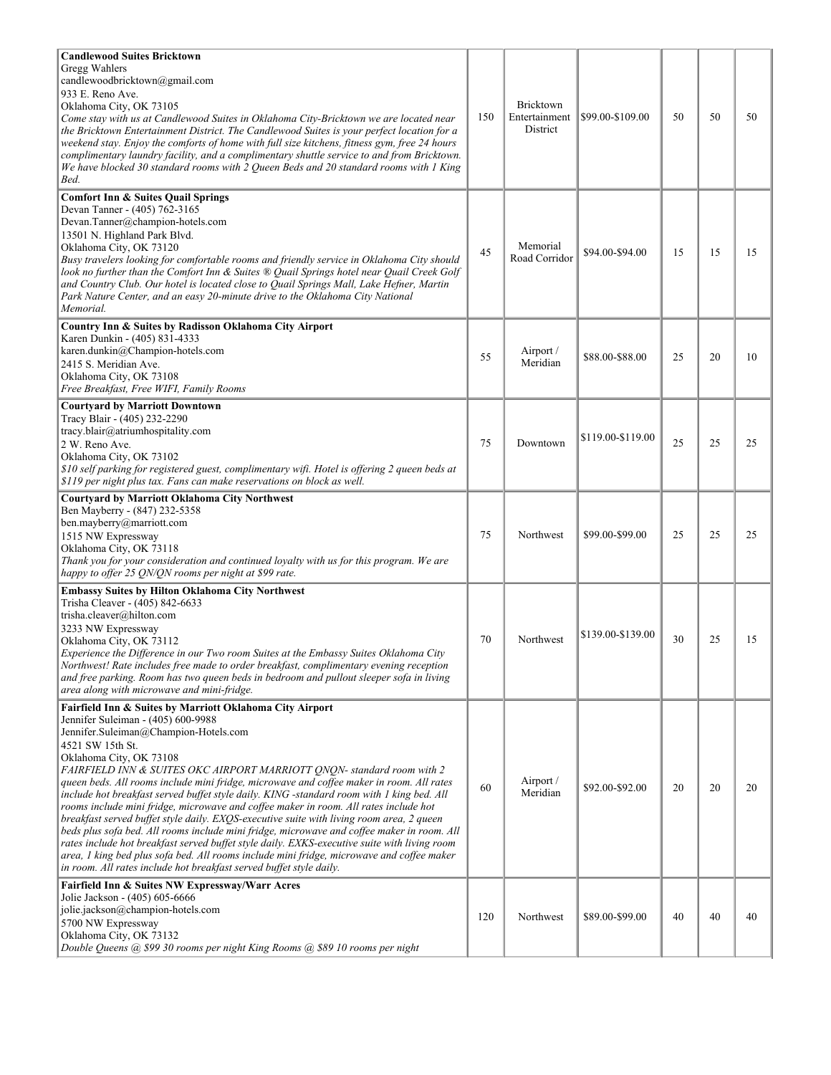| <b>Candlewood Suites Bricktown</b><br>Gregg Wahlers<br>candlewoodbricktown@gmail.com<br>933 E. Reno Ave.<br>Oklahoma City, OK 73105<br>Come stay with us at Candlewood Suites in Oklahoma City-Bricktown we are located near<br>the Bricktown Entertainment District. The Candlewood Suites is your perfect location for a<br>weekend stay. Enjoy the comforts of home with full size kitchens, fitness gym, free 24 hours<br>complimentary laundry facility, and a complimentary shuttle service to and from Bricktown.<br>We have blocked 30 standard rooms with 2 Queen Beds and 20 standard rooms with 1 King<br>Bed.                                                                                                                                                                                                                                                                                                                                                                                       | 150 | Bricktown<br>Entertainment<br>District | \$99.00-\$109.00  | 50 | 50 | 50 |
|-----------------------------------------------------------------------------------------------------------------------------------------------------------------------------------------------------------------------------------------------------------------------------------------------------------------------------------------------------------------------------------------------------------------------------------------------------------------------------------------------------------------------------------------------------------------------------------------------------------------------------------------------------------------------------------------------------------------------------------------------------------------------------------------------------------------------------------------------------------------------------------------------------------------------------------------------------------------------------------------------------------------|-----|----------------------------------------|-------------------|----|----|----|
| <b>Comfort Inn &amp; Suites Quail Springs</b><br>Devan Tanner - (405) 762-3165<br>Devan.Tanner@champion-hotels.com<br>13501 N. Highland Park Blvd.<br>Oklahoma City, OK 73120<br>Busy travelers looking for comfortable rooms and friendly service in Oklahoma City should<br>look no further than the Comfort Inn & Suites ® Quail Springs hotel near Quail Creek Golf<br>and Country Club. Our hotel is located close to Quail Springs Mall, Lake Hefner, Martin<br>Park Nature Center, and an easy 20-minute drive to the Oklahoma City National<br>Memorial.                                                                                                                                                                                                                                                                                                                                                                                                                                                | 45  | Memorial<br>Road Corridor              | \$94.00-\$94.00   | 15 | 15 | 15 |
| Country Inn & Suites by Radisson Oklahoma City Airport<br>Karen Dunkin - (405) 831-4333<br>karen.dunkin@Champion-hotels.com<br>2415 S. Meridian Ave.<br>Oklahoma City, OK 73108<br>Free Breakfast, Free WIFI, Family Rooms                                                                                                                                                                                                                                                                                                                                                                                                                                                                                                                                                                                                                                                                                                                                                                                      | 55  | Airport /<br>Meridian                  | \$88.00-\$88.00   | 25 | 20 | 10 |
| <b>Courtyard by Marriott Downtown</b><br>Tracy Blair - (405) 232-2290<br>tracy.blair@atriumhospitality.com<br>2 W. Reno Ave.<br>Oklahoma City, OK 73102<br>\$10 self parking for registered guest, complimentary wift. Hotel is offering 2 queen beds at<br>\$119 per night plus tax. Fans can make reservations on block as well.                                                                                                                                                                                                                                                                                                                                                                                                                                                                                                                                                                                                                                                                              | 75  | Downtown                               | \$119.00-\$119.00 | 25 | 25 | 25 |
| Courtyard by Marriott Oklahoma City Northwest<br>Ben Mayberry - (847) 232-5358<br>ben.mayberry@marriott.com<br>1515 NW Expressway<br>Oklahoma City, OK 73118<br>Thank you for your consideration and continued loyalty with us for this program. We are<br>happy to offer 25 QN/QN rooms per night at \$99 rate.                                                                                                                                                                                                                                                                                                                                                                                                                                                                                                                                                                                                                                                                                                | 75  | Northwest                              | \$99.00-\$99.00   | 25 | 25 | 25 |
| <b>Embassy Suites by Hilton Oklahoma City Northwest</b><br>Trisha Cleaver - (405) 842-6633<br>trisha.cleaver@hilton.com<br>3233 NW Expressway<br>Oklahoma City, OK 73112<br>Experience the Difference in our Two room Suites at the Embassy Suites Oklahoma City<br>Northwest! Rate includes free made to order breakfast, complimentary evening reception<br>and free parking. Room has two queen beds in bedroom and pullout sleeper sofa in living<br>area along with microwave and mini-fridge.                                                                                                                                                                                                                                                                                                                                                                                                                                                                                                             | 70  | Northwest                              | \$139.00-\$139.00 | 30 | 25 | 15 |
| Fairfield Inn & Suites by Marriott Oklahoma City Airport<br>Jennifer Suleiman - (405) 600-9988<br>Jennifer.Suleiman@Champion-Hotels.com<br>4521 SW 15th St.<br>Oklahoma City, OK 73108<br>FAIRFIELD INN & SUITES OKC AIRPORT MARRIOTT ONON- standard room with 2<br>queen beds. All rooms include mini fridge, microwave and coffee maker in room. All rates<br>include hot breakfast served buffet style daily. KING -standard room with 1 king bed. All<br>rooms include mini fridge, microwave and coffee maker in room. All rates include hot<br>breakfast served buffet style daily. EXQS-executive suite with living room area, 2 queen<br>beds plus sofa bed. All rooms include mini fridge, microwave and coffee maker in room. All<br>rates include hot breakfast served buffet style daily. EXKS-executive suite with living room<br>area, 1 king bed plus sofa bed. All rooms include mini fridge, microwave and coffee maker<br>in room. All rates include hot breakfast served buffet style daily. | 60  | Airport /<br>Meridian                  | \$92.00-\$92.00   | 20 | 20 | 20 |
| Fairfield Inn & Suites NW Expressway/Warr Acres<br>Jolie Jackson - (405) 605-6666<br>jolie.jackson@champion-hotels.com<br>5700 NW Expressway<br>Oklahoma City, OK 73132<br>Double Queens @ \$99 30 rooms per night King Rooms @ \$89 10 rooms per night                                                                                                                                                                                                                                                                                                                                                                                                                                                                                                                                                                                                                                                                                                                                                         | 120 | Northwest                              | \$89.00-\$99.00   | 40 | 40 | 40 |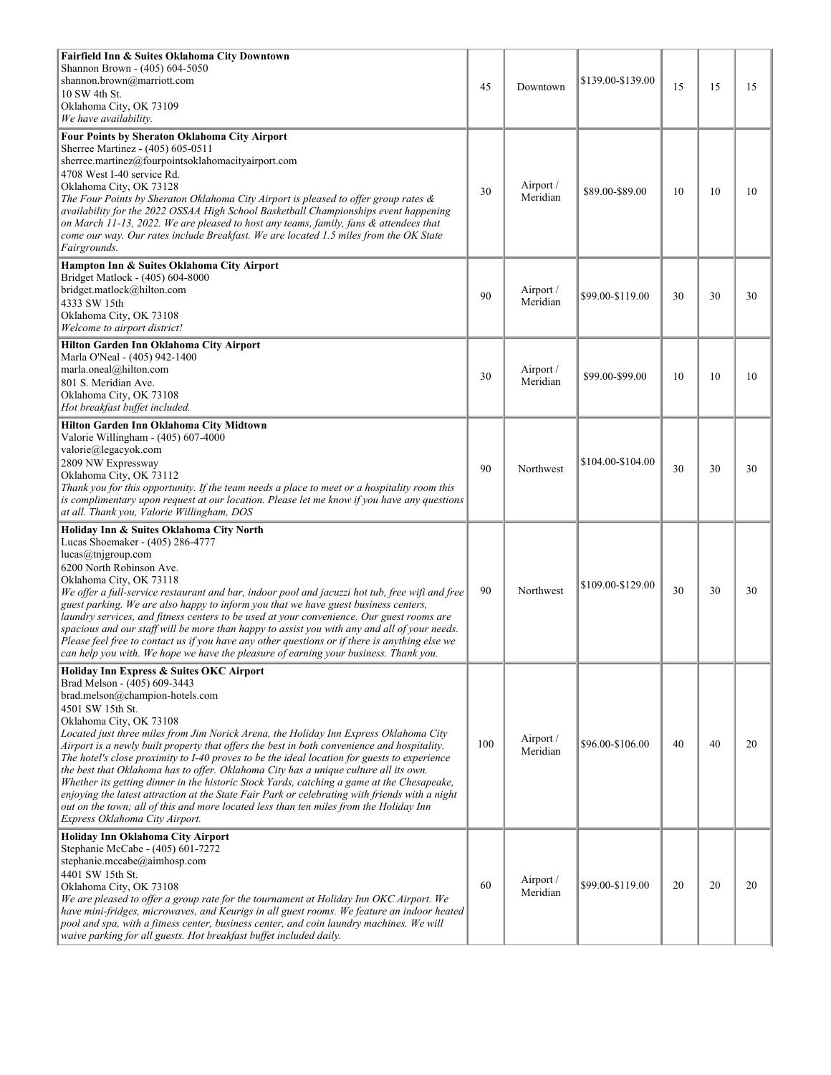| Fairfield Inn & Suites Oklahoma City Downtown<br>Shannon Brown - (405) 604-5050<br>shannon.brown@marriott.com<br>10 SW 4th St.<br>Oklahoma City, OK 73109<br>We have availability.                                                                                                                                                                                                                                                                                                                                                                                                                                                                                                                                                                                                                                                                                     | 45  | Downtown              | \$139.00-\$139.00 | 15 | 15 | 15 |
|------------------------------------------------------------------------------------------------------------------------------------------------------------------------------------------------------------------------------------------------------------------------------------------------------------------------------------------------------------------------------------------------------------------------------------------------------------------------------------------------------------------------------------------------------------------------------------------------------------------------------------------------------------------------------------------------------------------------------------------------------------------------------------------------------------------------------------------------------------------------|-----|-----------------------|-------------------|----|----|----|
| Four Points by Sheraton Oklahoma City Airport<br>Sherree Martinez - (405) 605-0511<br>sherree.martinez@fourpointsoklahomacityairport.com<br>4708 West I-40 service Rd.<br>Oklahoma City, OK 73128<br>The Four Points by Sheraton Oklahoma City Airport is pleased to offer group rates &<br>availability for the 2022 OSSAA High School Basketball Championships event happening<br>on March 11-13, 2022. We are pleased to host any teams, family, fans & attendees that<br>come our way. Our rates include Breakfast. We are located 1.5 miles from the OK State<br>Fairgrounds.                                                                                                                                                                                                                                                                                     | 30  | Airport /<br>Meridian | \$89.00-\$89.00   | 10 | 10 | 10 |
| Hampton Inn & Suites Oklahoma City Airport<br>Bridget Matlock - (405) 604-8000<br>bridget.matlock@hilton.com<br>4333 SW 15th<br>Oklahoma City, OK 73108<br>Welcome to airport district!                                                                                                                                                                                                                                                                                                                                                                                                                                                                                                                                                                                                                                                                                | 90  | Airport /<br>Meridian | \$99.00-\$119.00  | 30 | 30 | 30 |
| Hilton Garden Inn Oklahoma City Airport<br>Marla O'Neal - (405) 942-1400<br>marla.oneal@hilton.com<br>801 S. Meridian Ave.<br>Oklahoma City, OK 73108<br>Hot breakfast buffet included.                                                                                                                                                                                                                                                                                                                                                                                                                                                                                                                                                                                                                                                                                | 30  | Airport /<br>Meridian | \$99.00-\$99.00   | 10 | 10 | 10 |
| Hilton Garden Inn Oklahoma City Midtown<br>Valorie Willingham - (405) 607-4000<br>valorie@legacyok.com<br>2809 NW Expressway<br>Oklahoma City, OK 73112<br>Thank you for this opportunity. If the team needs a place to meet or a hospitality room this<br>is complimentary upon request at our location. Please let me know if you have any questions<br>at all. Thank you, Valorie Willingham, DOS                                                                                                                                                                                                                                                                                                                                                                                                                                                                   | 90  | Northwest             | \$104.00-\$104.00 | 30 | 30 | 30 |
| Holiday Inn & Suites Oklahoma City North<br>Lucas Shoemaker - (405) 286-4777<br>lucas@tnjgroup.com<br>6200 North Robinson Ave.<br>Oklahoma City, OK 73118<br>We offer a full-service restaurant and bar, indoor pool and jacuzzi hot tub, free wifi and free<br>guest parking. We are also happy to inform you that we have guest business centers,<br>laundry services, and fitness centers to be used at your convenience. Our guest rooms are<br>spacious and our staff will be more than happy to assist you with any and all of your needs.<br>Please feel free to contact us if you have any other questions or if there is anything else we<br>can help you with. We hope we have the pleasure of earning your business. Thank you.                                                                                                                             | 90  | Northwest             | \$109.00-\$129.00 | 30 | 30 | 30 |
| Holiday Inn Express & Suites OKC Airport<br>Brad Melson - (405) 609-3443<br>brad.melson@champion-hotels.com<br>4501 SW 15th St.<br>Oklahoma City, OK 73108<br>Located just three miles from Jim Norick Arena, the Holiday Inn Express Oklahoma City<br>Airport is a newly built property that offers the best in both convenience and hospitality.<br>The hotel's close proximity to I-40 proves to be the ideal location for guests to experience<br>the best that Oklahoma has to offer. Oklahoma City has a unique culture all its own.<br>Whether its getting dinner in the historic Stock Yards, catching a game at the Chesapeake,<br>enjoying the latest attraction at the State Fair Park or celebrating with friends with a night<br>out on the town; all of this and more located less than ten miles from the Holiday Inn<br>Express Oklahoma City Airport. | 100 | Airport /<br>Meridian | \$96.00-\$106.00  | 40 | 40 | 20 |
| Holiday Inn Oklahoma City Airport<br>Stephanie McCabe - (405) 601-7272<br>stephanie.mccabe@aimhosp.com<br>4401 SW 15th St.<br>Oklahoma City, OK 73108<br>We are pleased to offer a group rate for the tournament at Holiday Inn OKC Airport. We<br>have mini-fridges, microwaves, and Keurigs in all guest rooms. We feature an indoor heated<br>pool and spa, with a fitness center, business center, and coin laundry machines. We will<br>waive parking for all guests. Hot breakfast buffet included daily.                                                                                                                                                                                                                                                                                                                                                        | 60  | Airport /<br>Meridian | \$99.00-\$119.00  | 20 | 20 | 20 |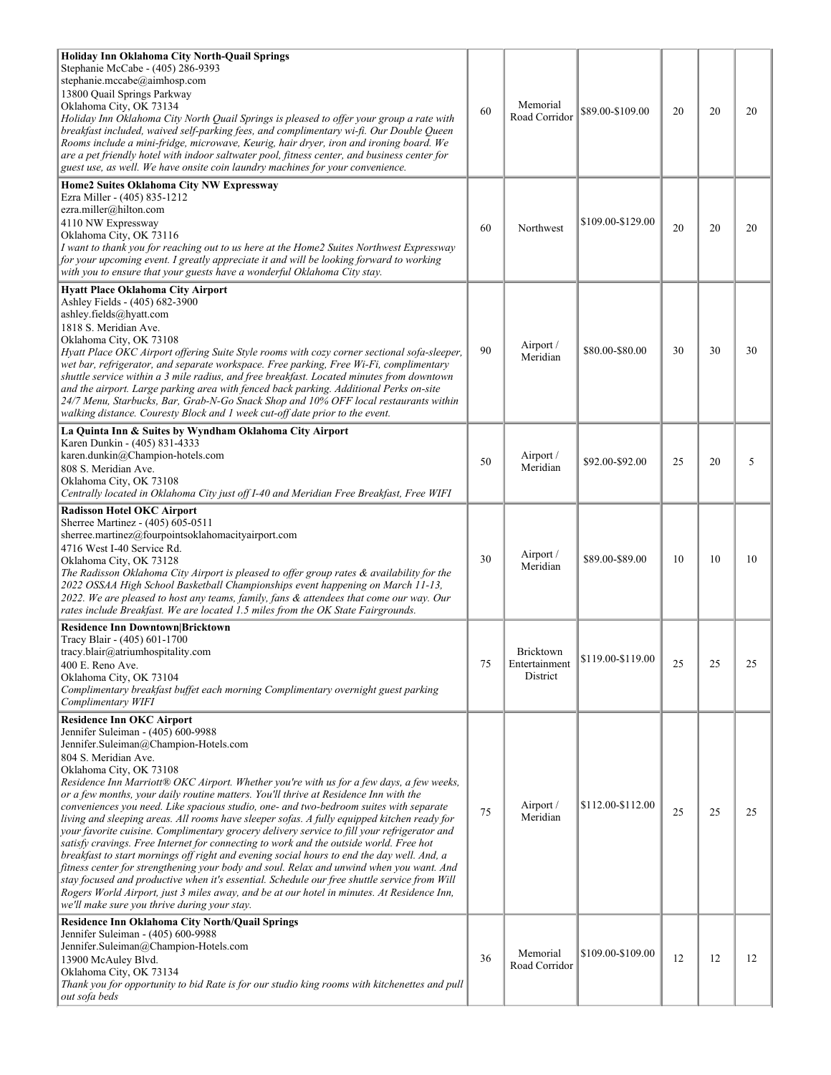| Holiday Inn Oklahoma City North-Quail Springs<br>Stephanie McCabe - (405) 286-9393<br>stephanie.mccabe@aimhosp.com<br>13800 Quail Springs Parkway<br>Oklahoma City, OK 73134                                                                                                                                                                                                                                                                                                                                                                                                                                                                                                                                                                                                                                                                                                                                                                                                                                                                                                                                                                                                     | 60 | Memorial                                      | \$89.00-\$109.00  | 20 | 20 | 20 |
|----------------------------------------------------------------------------------------------------------------------------------------------------------------------------------------------------------------------------------------------------------------------------------------------------------------------------------------------------------------------------------------------------------------------------------------------------------------------------------------------------------------------------------------------------------------------------------------------------------------------------------------------------------------------------------------------------------------------------------------------------------------------------------------------------------------------------------------------------------------------------------------------------------------------------------------------------------------------------------------------------------------------------------------------------------------------------------------------------------------------------------------------------------------------------------|----|-----------------------------------------------|-------------------|----|----|----|
| Holiday Inn Oklahoma City North Quail Springs is pleased to offer your group a rate with<br>breakfast included, waived self-parking fees, and complimentary wi-fi. Our Double Queen<br>Rooms include a mini-fridge, microwave, Keurig, hair dryer, iron and ironing board. We<br>are a pet friendly hotel with indoor saltwater pool, fitness center, and business center for<br>guest use, as well. We have onsite coin laundry machines for your convenience.                                                                                                                                                                                                                                                                                                                                                                                                                                                                                                                                                                                                                                                                                                                  |    | Road Corridor                                 |                   |    |    |    |
| Home2 Suites Oklahoma City NW Expressway<br>Ezra Miller - (405) 835-1212<br>ezra.miller@hilton.com<br>4110 NW Expressway<br>Oklahoma City, OK 73116<br>I want to thank you for reaching out to us here at the Home2 Suites Northwest Expressway<br>for your upcoming event. I greatly appreciate it and will be looking forward to working<br>with you to ensure that your guests have a wonderful Oklahoma City stay.                                                                                                                                                                                                                                                                                                                                                                                                                                                                                                                                                                                                                                                                                                                                                           | 60 | Northwest                                     | \$109.00-\$129.00 | 20 | 20 | 20 |
| Hyatt Place Oklahoma City Airport<br>Ashley Fields - (405) 682-3900<br>ashley.fields@hyatt.com<br>1818 S. Meridian Ave.<br>Oklahoma City, OK 73108<br>Hyatt Place OKC Airport offering Suite Style rooms with cozy corner sectional sofa-sleeper,<br>wet bar, refrigerator, and separate workspace. Free parking, Free Wi-Fi, complimentary<br>shuttle service within a 3 mile radius, and free breakfast. Located minutes from downtown<br>and the airport. Large parking area with fenced back parking. Additional Perks on-site<br>24/7 Menu, Starbucks, Bar, Grab-N-Go Snack Shop and 10% OFF local restaurants within<br>walking distance. Couresty Block and 1 week cut-off date prior to the event.                                                                                                                                                                                                                                                                                                                                                                                                                                                                       | 90 | Airport /<br>Meridian                         | \$80.00-\$80.00   | 30 | 30 | 30 |
| La Quinta Inn & Suites by Wyndham Oklahoma City Airport<br>Karen Dunkin - (405) 831-4333<br>karen.dunkin@Champion-hotels.com<br>808 S. Meridian Ave.<br>Oklahoma City, OK 73108<br>Centrally located in Oklahoma City just off I-40 and Meridian Free Breakfast, Free WIFI                                                                                                                                                                                                                                                                                                                                                                                                                                                                                                                                                                                                                                                                                                                                                                                                                                                                                                       | 50 | Airport /<br>Meridian                         | \$92.00-\$92.00   | 25 | 20 | 5  |
| <b>Radisson Hotel OKC Airport</b><br>Sherree Martinez - (405) 605-0511<br>sherree.martinez@fourpointsoklahomacityairport.com<br>4716 West I-40 Service Rd.<br>Oklahoma City, OK 73128<br>The Radisson Oklahoma City Airport is pleased to offer group rates & availability for the<br>2022 OSSAA High School Basketball Championships event happening on March 11-13,<br>2022. We are pleased to host any teams, family, fans & attendees that come our way. Our<br>rates include Breakfast. We are located 1.5 miles from the OK State Fairgrounds.                                                                                                                                                                                                                                                                                                                                                                                                                                                                                                                                                                                                                             | 30 | Airport /<br>Meridian                         | \$89.00-\$89.00   | 10 | 10 | 10 |
| <b>Residence Inn Downtown Bricktown</b><br>Tracy Blair - (405) 601-1700<br>tracy.blair@atriumhospitality.com<br>400 E. Reno Ave.<br>Oklahoma City, OK 73104<br>Complimentary breakfast buffet each morning Complimentary overnight guest parking<br>Complimentary WIFI                                                                                                                                                                                                                                                                                                                                                                                                                                                                                                                                                                                                                                                                                                                                                                                                                                                                                                           | 75 | <b>Bricktown</b><br>Entertainment<br>District | \$119.00-\$119.00 | 25 | 25 | 25 |
| <b>Residence Inn OKC Airport</b><br>Jennifer Suleiman - (405) 600-9988<br>Jennifer.Suleiman@Champion-Hotels.com<br>804 S. Meridian Ave.<br>Oklahoma City, OK 73108<br>Residence Inn Marriott® OKC Airport. Whether you're with us for a few days, a few weeks,<br>or a few months, your daily routine matters. You'll thrive at Residence Inn with the<br>conveniences you need. Like spacious studio, one- and two-bedroom suites with separate<br>living and sleeping areas. All rooms have sleeper sofas. A fully equipped kitchen ready for<br>your favorite cuisine. Complimentary grocery delivery service to fill your refrigerator and<br>satisfy cravings. Free Internet for connecting to work and the outside world. Free hot<br>breakfast to start mornings off right and evening social hours to end the day well. And, a<br>fitness center for strengthening your body and soul. Relax and unwind when you want. And<br>stay focused and productive when it's essential. Schedule our free shuttle service from Will<br>Rogers World Airport, just 3 miles away, and be at our hotel in minutes. At Residence Inn,<br>we'll make sure you thrive during your stay. | 75 | Airport /<br>Meridian                         | \$112.00-\$112.00 | 25 | 25 | 25 |
| Residence Inn Oklahoma City North/Quail Springs<br>Jennifer Suleiman - (405) 600-9988<br>Jennifer.Suleiman@Champion-Hotels.com<br>13900 McAuley Blvd.<br>Oklahoma City, OK 73134<br>Thank you for opportunity to bid Rate is for our studio king rooms with kitchenettes and pull<br>out sofa beds                                                                                                                                                                                                                                                                                                                                                                                                                                                                                                                                                                                                                                                                                                                                                                                                                                                                               | 36 | Memorial<br>Road Corridor                     | \$109.00-\$109.00 | 12 | 12 | 12 |